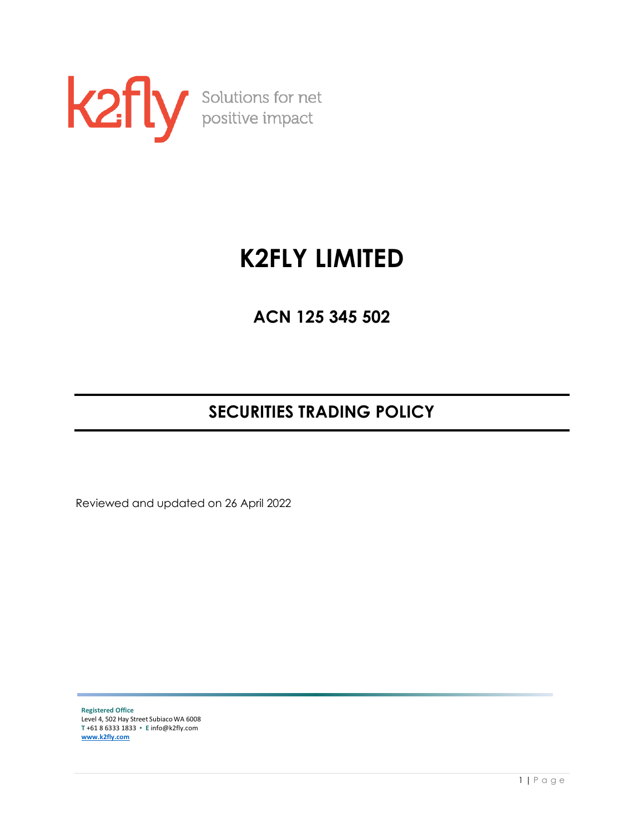

# **K2FLY LIMITED**

**ACN 125 345 502**

# **SECURITIES TRADING POLICY**

Reviewed and updated on 26 April 2022

**Registered Office** Level 4, 502 Hay Street Subiaco WA 6008 **T** +61 8 6333 1833 ▪ **E** info@k2fly.com **[www.k2fly.com](http://www.k2fly.com/)**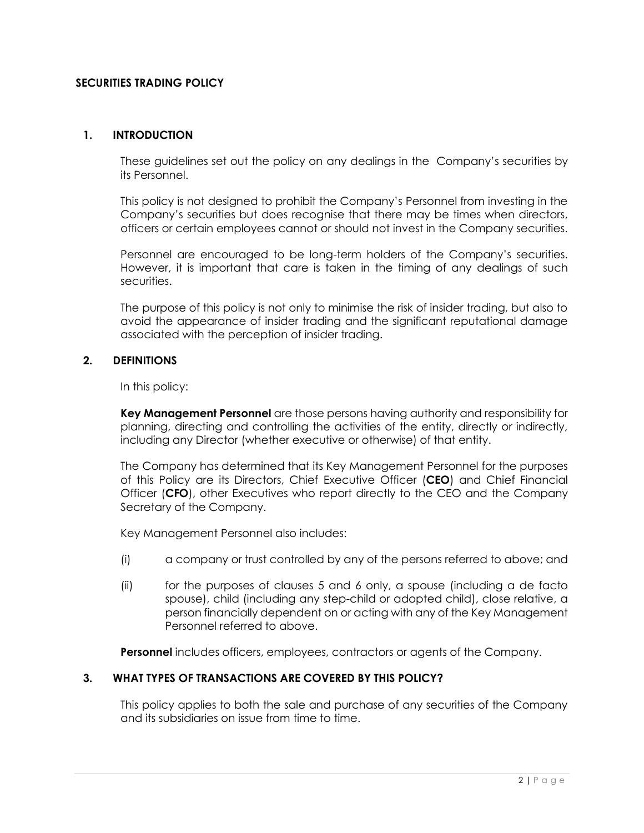#### **SECURITIES TRADING POLICY**

#### **1. INTRODUCTION**

These guidelines set out the policy on any dealings in the Company's securities by its Personnel.

This policy is not designed to prohibit the Company's Personnel from investing in the Company's securities but does recognise that there may be times when directors, officers or certain employees cannot or should not invest in the Company securities.

Personnel are encouraged to be long-term holders of the Company's securities. However, it is important that care is taken in the timing of any dealings of such securities.

The purpose of this policy is not only to minimise the risk of insider trading, but also to avoid the appearance of insider trading and the significant reputational damage associated with the perception of insider trading.

# **2. DEFINITIONS**

In this policy:

**Key Management Personnel** are those persons having authority and responsibility for planning, directing and controlling the activities of the entity, directly or indirectly, including any Director (whether executive or otherwise) of that entity.

The Company has determined that its Key Management Personnel for the purposes of this Policy are its Directors, Chief Executive Officer (**CEO**) and Chief Financial Officer (**CFO**), other Executives who report directly to the CEO and the Company Secretary of the Company.

Key Management Personnel also includes:

- (i) a company or trust controlled by any of the persons referred to above; and
- (ii) for the purposes of clauses 5 and 6 only, a spouse (including a de facto spouse), child (including any step-child or adopted child), close relative, a person financially dependent on or acting with any of the Key Management Personnel referred to above.

**Personnel** includes officers, employees, contractors or agents of the Company.

#### **3. WHAT TYPES OF TRANSACTIONS ARE COVERED BY THIS POLICY?**

This policy applies to both the sale and purchase of any securities of the Company and its subsidiaries on issue from time to time.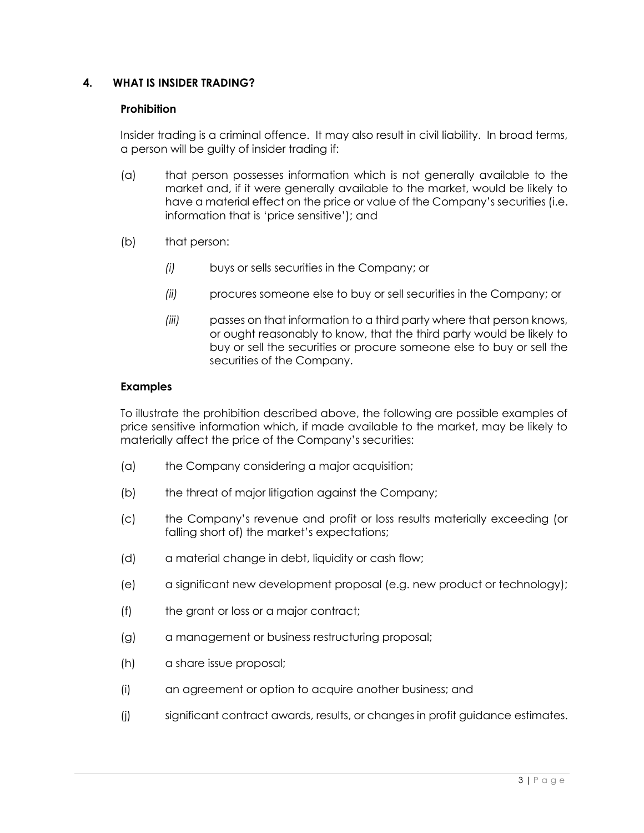# **4. WHAT IS INSIDER TRADING?**

# **Prohibition**

Insider trading is a criminal offence. It may also result in civil liability. In broad terms, a person will be guilty of insider trading if:

- (a) that person possesses information which is not generally available to the market and, if it were generally available to the market, would be likely to have a material effect on the price or value of the Company's securities (i.e. information that is 'price sensitive'); and
- (b) that person:
	- *(i)* buys or sells securities in the Company; or
	- *(ii)* procures someone else to buy or sell securities in the Company; or
	- *(iii)* passes on that information to a third party where that person knows, or ought reasonably to know, that the third party would be likely to buy or sell the securities or procure someone else to buy or sell the securities of the Company.

#### **Examples**

To illustrate the prohibition described above, the following are possible examples of price sensitive information which, if made available to the market, may be likely to materially affect the price of the Company's securities:

- (a) the Company considering a major acquisition;
- (b) the threat of major litigation against the Company;
- (c) the Company's revenue and profit or loss results materially exceeding (or falling short of) the market's expectations;
- (d) a material change in debt, liquidity or cash flow;
- (e) a significant new development proposal (e.g. new product or technology);
- (f) the grant or loss or a major contract;
- (g) a management or business restructuring proposal;
- (h) a share issue proposal;
- (i) an agreement or option to acquire another business; and
- (j) significant contract awards, results, or changes in profit guidance estimates.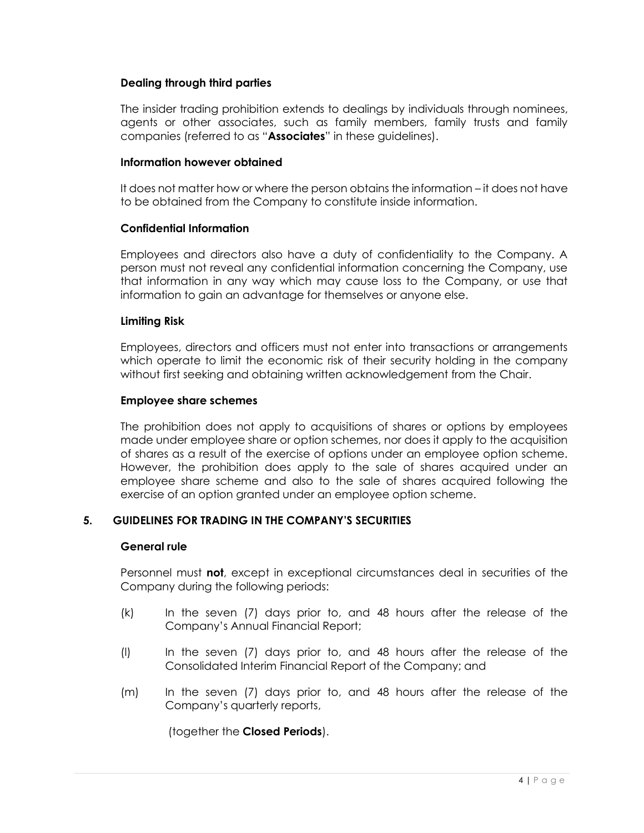#### **Dealing through third parties**

The insider trading prohibition extends to dealings by individuals through nominees, agents or other associates, such as family members, family trusts and family companies (referred to as "**Associates**" in these guidelines).

#### **Information however obtained**

It does not matter how or where the person obtains the information – it does not have to be obtained from the Company to constitute inside information.

#### **Confidential Information**

Employees and directors also have a duty of confidentiality to the Company. A person must not reveal any confidential information concerning the Company, use that information in any way which may cause loss to the Company, or use that information to gain an advantage for themselves or anyone else.

#### **Limiting Risk**

Employees, directors and officers must not enter into transactions or arrangements which operate to limit the economic risk of their security holding in the company without first seeking and obtaining written acknowledgement from the Chair.

#### **Employee share schemes**

The prohibition does not apply to acquisitions of shares or options by employees made under employee share or option schemes, nor does it apply to the acquisition of shares as a result of the exercise of options under an employee option scheme. However, the prohibition does apply to the sale of shares acquired under an employee share scheme and also to the sale of shares acquired following the exercise of an option granted under an employee option scheme.

# **5. GUIDELINES FOR TRADING IN THE COMPANY'S SECURITIES**

#### **General rule**

Personnel must **not**, except in exceptional circumstances deal in securities of the Company during the following periods:

- (k) In the seven (7) days prior to, and 48 hours after the release of the Company's Annual Financial Report;
- (l) In the seven (7) days prior to, and 48 hours after the release of the Consolidated Interim Financial Report of the Company; and
- (m) In the seven (7) days prior to, and 48 hours after the release of the Company's quarterly reports,

(together the **Closed Periods**).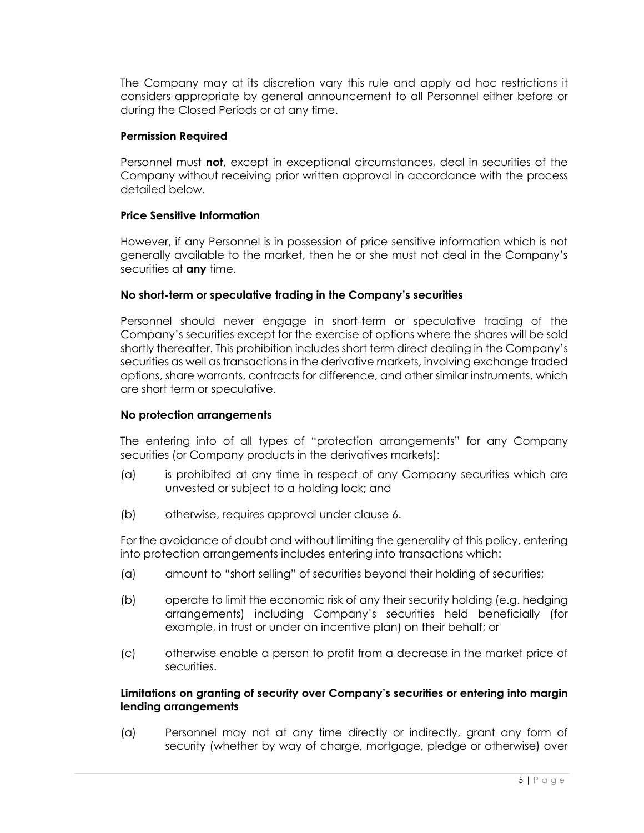The Company may at its discretion vary this rule and apply ad hoc restrictions it considers appropriate by general announcement to all Personnel either before or during the Closed Periods or at any time.

# **Permission Required**

Personnel must **not**, except in exceptional circumstances, deal in securities of the Company without receiving prior written approval in accordance with the process detailed below.

#### **Price Sensitive Information**

However, if any Personnel is in possession of price sensitive information which is not generally available to the market, then he or she must not deal in the Company's securities at **any** time.

#### **No short-term or speculative trading in the Company's securities**

Personnel should never engage in short-term or speculative trading of the Company's securities except for the exercise of options where the shares will be sold shortly thereafter. This prohibition includes short term direct dealing in the Company's securities as well as transactions in the derivative markets, involving exchange traded options, share warrants, contracts for difference, and other similar instruments, which are short term or speculative.

#### **No protection arrangements**

The entering into of all types of "protection arrangements" for any Company securities (or Company products in the derivatives markets):

- (a) is prohibited at any time in respect of any Company securities which are unvested or subject to a holding lock; and
- (b) otherwise, requires approval under clause 6.

For the avoidance of doubt and without limiting the generality of this policy, entering into protection arrangements includes entering into transactions which:

- (a) amount to "short selling" of securities beyond their holding of securities;
- (b) operate to limit the economic risk of any their security holding (e.g. hedging arrangements) including Company's securities held beneficially (for example, in trust or under an incentive plan) on their behalf; or
- (c) otherwise enable a person to profit from a decrease in the market price of securities.

#### **Limitations on granting of security over Company's securities or entering into margin lending arrangements**

(a) Personnel may not at any time directly or indirectly, grant any form of security (whether by way of charge, mortgage, pledge or otherwise) over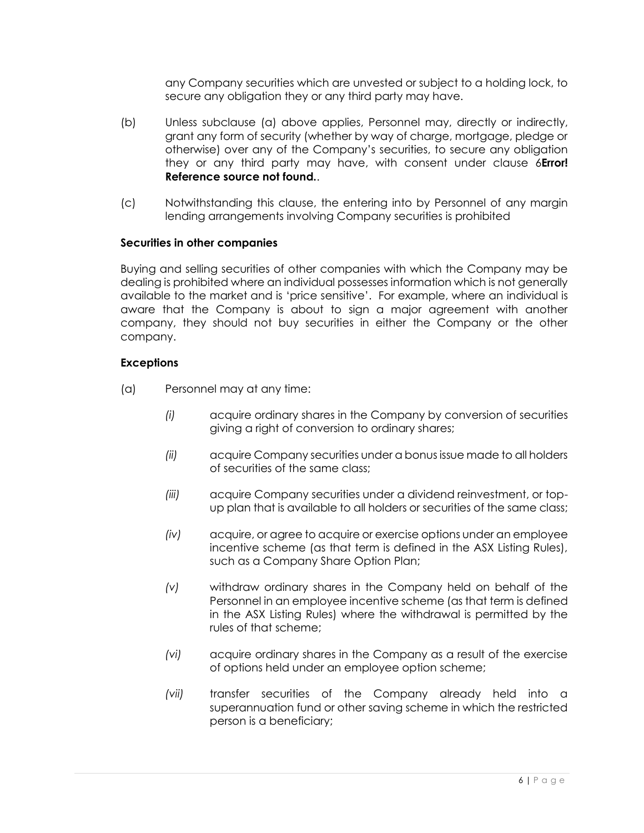any Company securities which are unvested or subject to a holding lock, to secure any obligation they or any third party may have.

- (b) Unless subclause (a) above applies, Personnel may, directly or indirectly, grant any form of security (whether by way of charge, mortgage, pledge or otherwise) over any of the Company's securities, to secure any obligation they or any third party may have, with consent under clause 6**Error! Reference source not found.**.
- (c) Notwithstanding this clause, the entering into by Personnel of any margin lending arrangements involving Company securities is prohibited

# **Securities in other companies**

Buying and selling securities of other companies with which the Company may be dealing is prohibited where an individual possesses information which is not generally available to the market and is 'price sensitive'. For example, where an individual is aware that the Company is about to sign a major agreement with another company, they should not buy securities in either the Company or the other company.

#### **Exceptions**

- (a) Personnel may at any time:
	- *(i)* acquire ordinary shares in the Company by conversion of securities giving a right of conversion to ordinary shares;
	- *(ii)* acquire Company securities under a bonus issue made to all holders of securities of the same class;
	- *(iii)* acquire Company securities under a dividend reinvestment, or topup plan that is available to all holders or securities of the same class;
	- *(iv)* acquire, or agree to acquire or exercise options under an employee incentive scheme (as that term is defined in the ASX Listing Rules), such as a Company Share Option Plan;
	- *(v)* withdraw ordinary shares in the Company held on behalf of the Personnel in an employee incentive scheme (as that term is defined in the ASX Listing Rules) where the withdrawal is permitted by the rules of that scheme;
	- *(vi)* acquire ordinary shares in the Company as a result of the exercise of options held under an employee option scheme;
	- *(vii)* transfer securities of the Company already held into a superannuation fund or other saving scheme in which the restricted person is a beneficiary;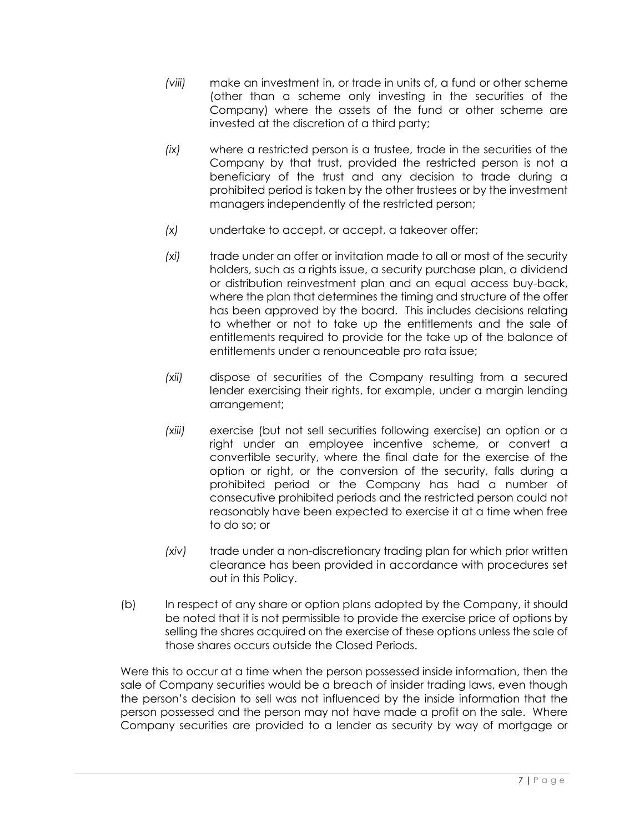- *(viii)* make an investment in, or trade in units of, a fund or other scheme (other than a scheme only investing in the securities of the Company) where the assets of the fund or other scheme are invested at the discretion of a third party;
- *(ix)* where a restricted person is a trustee, trade in the securities of the Company by that trust, provided the restricted person is not a beneficiary of the trust and any decision to trade during a prohibited period is taken by the other trustees or by the investment managers independently of the restricted person;
- *(x)* undertake to accept, or accept, a takeover offer;
- *(xi)* trade under an offer or invitation made to all or most of the security holders, such as a rights issue, a security purchase plan, a dividend or distribution reinvestment plan and an equal access buy-back, where the plan that determines the timing and structure of the offer has been approved by the board. This includes decisions relating to whether or not to take up the entitlements and the sale of entitlements required to provide for the take up of the balance of entitlements under a renounceable pro rata issue;
- *(xii)* dispose of securities of the Company resulting from a secured lender exercising their rights, for example, under a margin lending arrangement;
- *(xiii)* exercise (but not sell securities following exercise) an option or a right under an employee incentive scheme, or convert a convertible security, where the final date for the exercise of the option or right, or the conversion of the security, falls during a prohibited period or the Company has had a number of consecutive prohibited periods and the restricted person could not reasonably have been expected to exercise it at a time when free to do so; or
- *(xiv)* trade under a non-discretionary trading plan for which prior written clearance has been provided in accordance with procedures set out in this Policy.
- (b) In respect of any share or option plans adopted by the Company, it should be noted that it is not permissible to provide the exercise price of options by selling the shares acquired on the exercise of these options unless the sale of those shares occurs outside the Closed Periods.

Were this to occur at a time when the person possessed inside information, then the sale of Company securities would be a breach of insider trading laws, even though the person's decision to sell was not influenced by the inside information that the person possessed and the person may not have made a profit on the sale. Where Company securities are provided to a lender as security by way of mortgage or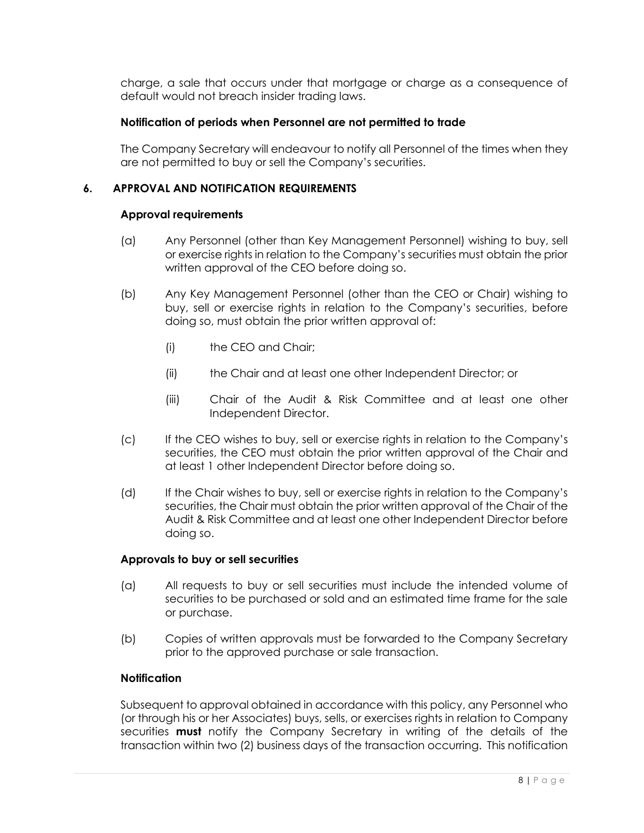charge, a sale that occurs under that mortgage or charge as a consequence of default would not breach insider trading laws.

# **Notification of periods when Personnel are not permitted to trade**

The Company Secretary will endeavour to notify all Personnel of the times when they are not permitted to buy or sell the Company's securities.

# **6. APPROVAL AND NOTIFICATION REQUIREMENTS**

#### **Approval requirements**

- (a) Any Personnel (other than Key Management Personnel) wishing to buy, sell or exercise rights in relation to the Company's securities must obtain the prior written approval of the CEO before doing so.
- (b) Any Key Management Personnel (other than the CEO or Chair) wishing to buy, sell or exercise rights in relation to the Company's securities, before doing so, must obtain the prior written approval of:
	- (i) the CEO and Chair;
	- (ii) the Chair and at least one other Independent Director; or
	- (iii) Chair of the Audit & Risk Committee and at least one other Independent Director.
- (c) If the CEO wishes to buy, sell or exercise rights in relation to the Company's securities, the CEO must obtain the prior written approval of the Chair and at least 1 other Independent Director before doing so.
- (d) If the Chair wishes to buy, sell or exercise rights in relation to the Company's securities, the Chair must obtain the prior written approval of the Chair of the Audit & Risk Committee and at least one other Independent Director before doing so.

#### **Approvals to buy or sell securities**

- (a) All requests to buy or sell securities must include the intended volume of securities to be purchased or sold and an estimated time frame for the sale or purchase.
- (b) Copies of written approvals must be forwarded to the Company Secretary prior to the approved purchase or sale transaction.

# **Notification**

Subsequent to approval obtained in accordance with this policy, any Personnel who (or through his or her Associates) buys, sells, or exercises rights in relation to Company securities **must** notify the Company Secretary in writing of the details of the transaction within two (2) business days of the transaction occurring. This notification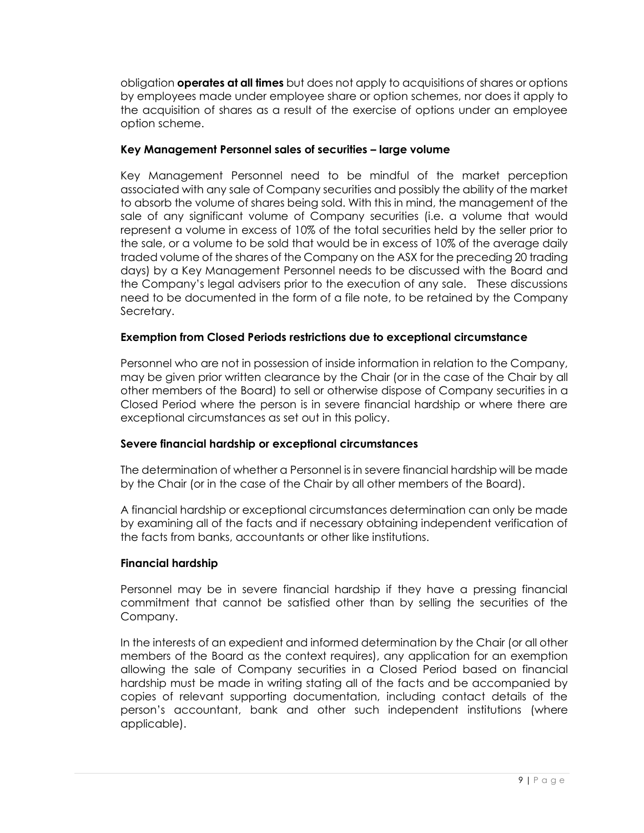obligation **operates at all times** but does not apply to acquisitions of shares or options by employees made under employee share or option schemes, nor does it apply to the acquisition of shares as a result of the exercise of options under an employee option scheme.

# **Key Management Personnel sales of securities – large volume**

Key Management Personnel need to be mindful of the market perception associated with any sale of Company securities and possibly the ability of the market to absorb the volume of shares being sold. With this in mind, the management of the sale of any significant volume of Company securities (i.e. a volume that would represent a volume in excess of 10% of the total securities held by the seller prior to the sale, or a volume to be sold that would be in excess of 10% of the average daily traded volume of the shares of the Company on the ASX for the preceding 20 trading days) by a Key Management Personnel needs to be discussed with the Board and the Company's legal advisers prior to the execution of any sale. These discussions need to be documented in the form of a file note, to be retained by the Company Secretary.

# **Exemption from Closed Periods restrictions due to exceptional circumstance**

Personnel who are not in possession of inside information in relation to the Company, may be given prior written clearance by the Chair (or in the case of the Chair by all other members of the Board) to sell or otherwise dispose of Company securities in a Closed Period where the person is in severe financial hardship or where there are exceptional circumstances as set out in this policy.

# **Severe financial hardship or exceptional circumstances**

The determination of whether a Personnel is in severe financial hardship will be made by the Chair (or in the case of the Chair by all other members of the Board).

A financial hardship or exceptional circumstances determination can only be made by examining all of the facts and if necessary obtaining independent verification of the facts from banks, accountants or other like institutions.

# **Financial hardship**

Personnel may be in severe financial hardship if they have a pressing financial commitment that cannot be satisfied other than by selling the securities of the Company.

In the interests of an expedient and informed determination by the Chair (or all other members of the Board as the context requires), any application for an exemption allowing the sale of Company securities in a Closed Period based on financial hardship must be made in writing stating all of the facts and be accompanied by copies of relevant supporting documentation, including contact details of the person's accountant, bank and other such independent institutions (where applicable).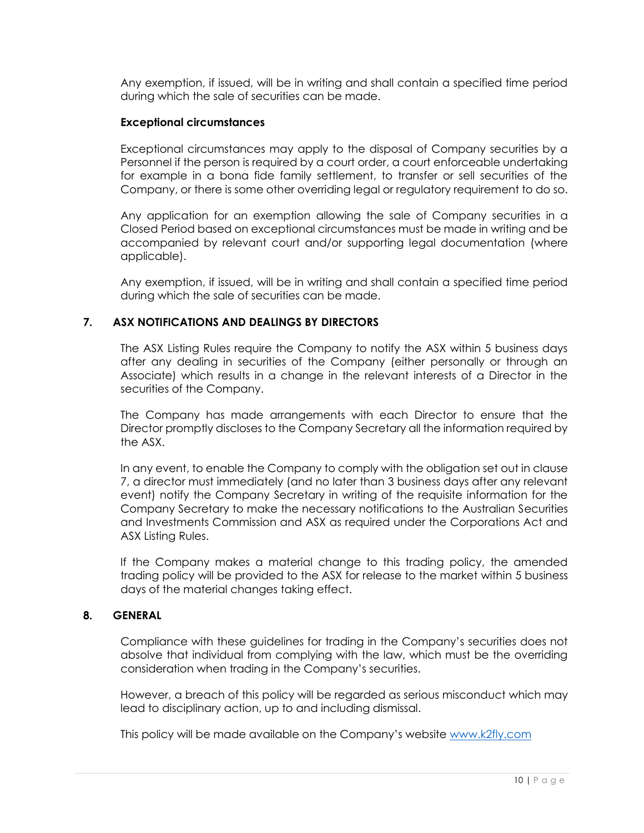Any exemption, if issued, will be in writing and shall contain a specified time period during which the sale of securities can be made.

#### **Exceptional circumstances**

Exceptional circumstances may apply to the disposal of Company securities by a Personnel if the person is required by a court order, a court enforceable undertaking for example in a bona fide family settlement, to transfer or sell securities of the Company, or there is some other overriding legal or regulatory requirement to do so.

Any application for an exemption allowing the sale of Company securities in a Closed Period based on exceptional circumstances must be made in writing and be accompanied by relevant court and/or supporting legal documentation (where applicable).

Any exemption, if issued, will be in writing and shall contain a specified time period during which the sale of securities can be made.

# **7. ASX NOTIFICATIONS AND DEALINGS BY DIRECTORS**

The ASX Listing Rules require the Company to notify the ASX within 5 business days after any dealing in securities of the Company (either personally or through an Associate) which results in a change in the relevant interests of a Director in the securities of the Company.

The Company has made arrangements with each Director to ensure that the Director promptly discloses to the Company Secretary all the information required by the ASX.

In any event, to enable the Company to comply with the obligation set out in clause 7, a director must immediately (and no later than 3 business days after any relevant event) notify the Company Secretary in writing of the requisite information for the Company Secretary to make the necessary notifications to the Australian Securities and Investments Commission and ASX as required under the Corporations Act and ASX Listing Rules.

If the Company makes a material change to this trading policy, the amended trading policy will be provided to the ASX for release to the market within 5 business days of the material changes taking effect.

#### **8. GENERAL**

Compliance with these guidelines for trading in the Company's securities does not absolve that individual from complying with the law, which must be the overriding consideration when trading in the Company's securities.

However, a breach of this policy will be regarded as serious misconduct which may lead to disciplinary action, up to and including dismissal.

This policy will be made available on the Company's website [www.k2fly.com](http://www.k2fly.com/)